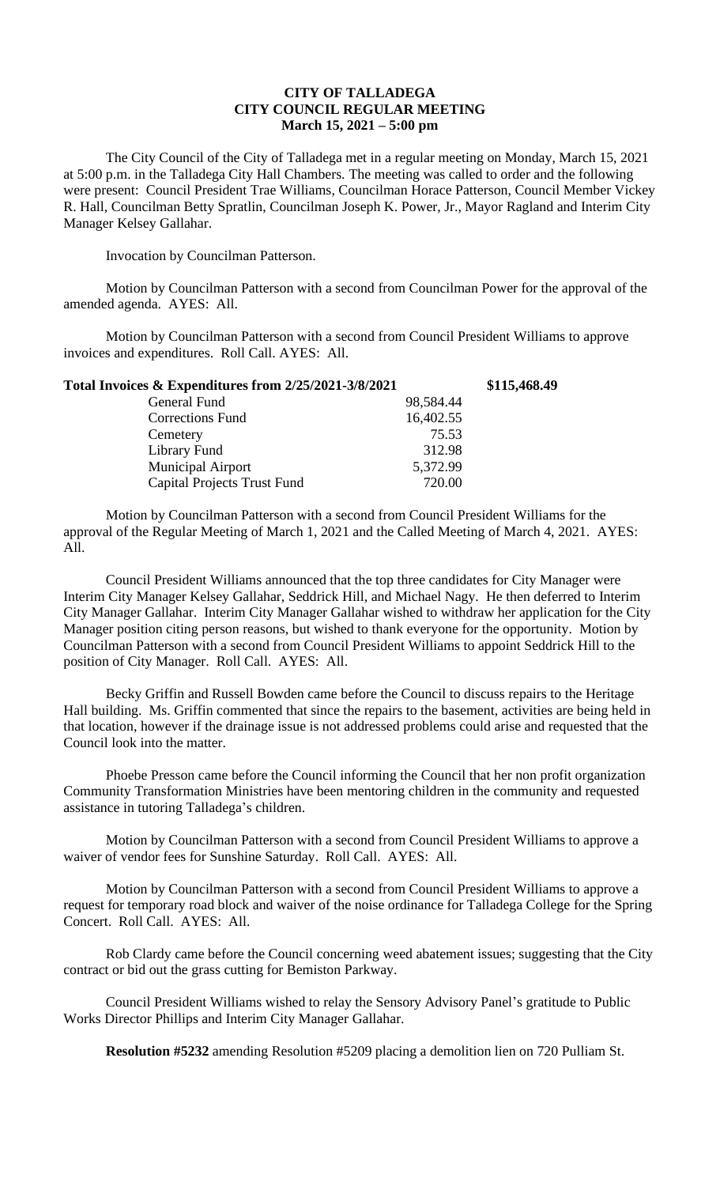## **CITY OF TALLADEGA CITY COUNCIL REGULAR MEETING March 15, 2021 – 5:00 pm**

The City Council of the City of Talladega met in a regular meeting on Monday, March 15, 2021 at 5:00 p.m. in the Talladega City Hall Chambers. The meeting was called to order and the following were present: Council President Trae Williams, Councilman Horace Patterson, Council Member Vickey R. Hall, Councilman Betty Spratlin, Councilman Joseph K. Power, Jr., Mayor Ragland and Interim City Manager Kelsey Gallahar.

Invocation by Councilman Patterson.

Motion by Councilman Patterson with a second from Councilman Power for the approval of the amended agenda. AYES: All.

Motion by Councilman Patterson with a second from Council President Williams to approve invoices and expenditures. Roll Call. AYES: All.

| Total Invoices & Expenditures from 2/25/2021-3/8/2021 |           | \$115,468.49 |
|-------------------------------------------------------|-----------|--------------|
| General Fund                                          | 98,584.44 |              |
| Corrections Fund                                      | 16,402.55 |              |
| Cemetery                                              | 75.53     |              |
| Library Fund                                          | 312.98    |              |
| <b>Municipal Airport</b>                              | 5,372.99  |              |
| <b>Capital Projects Trust Fund</b>                    | 720.00    |              |

Motion by Councilman Patterson with a second from Council President Williams for the approval of the Regular Meeting of March 1, 2021 and the Called Meeting of March 4, 2021. AYES: All.

Council President Williams announced that the top three candidates for City Manager were Interim City Manager Kelsey Gallahar, Seddrick Hill, and Michael Nagy. He then deferred to Interim City Manager Gallahar. Interim City Manager Gallahar wished to withdraw her application for the City Manager position citing person reasons, but wished to thank everyone for the opportunity. Motion by Councilman Patterson with a second from Council President Williams to appoint Seddrick Hill to the position of City Manager. Roll Call. AYES: All.

Becky Griffin and Russell Bowden came before the Council to discuss repairs to the Heritage Hall building. Ms. Griffin commented that since the repairs to the basement, activities are being held in that location, however if the drainage issue is not addressed problems could arise and requested that the Council look into the matter.

Phoebe Presson came before the Council informing the Council that her non profit organization Community Transformation Ministries have been mentoring children in the community and requested assistance in tutoring Talladega's children.

Motion by Councilman Patterson with a second from Council President Williams to approve a waiver of vendor fees for Sunshine Saturday. Roll Call. AYES: All.

Motion by Councilman Patterson with a second from Council President Williams to approve a request for temporary road block and waiver of the noise ordinance for Talladega College for the Spring Concert. Roll Call. AYES: All.

Rob Clardy came before the Council concerning weed abatement issues; suggesting that the City contract or bid out the grass cutting for Bemiston Parkway.

Council President Williams wished to relay the Sensory Advisory Panel's gratitude to Public Works Director Phillips and Interim City Manager Gallahar.

**Resolution #5232** amending Resolution #5209 placing a demolition lien on 720 Pulliam St.